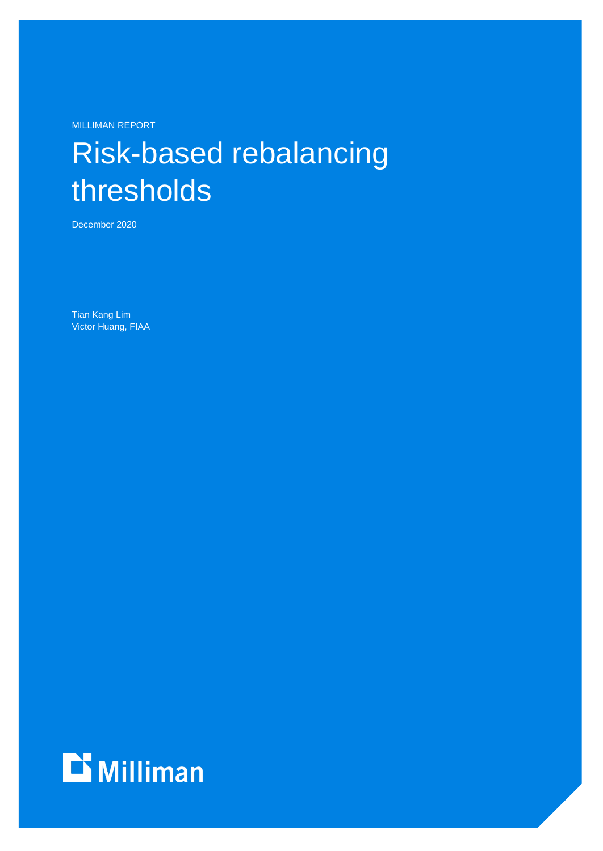MILLIMAN REPORT

# Risk-based rebalancing thresholds

December 2020

Tian Kang Lim Victor Huang, FIAA

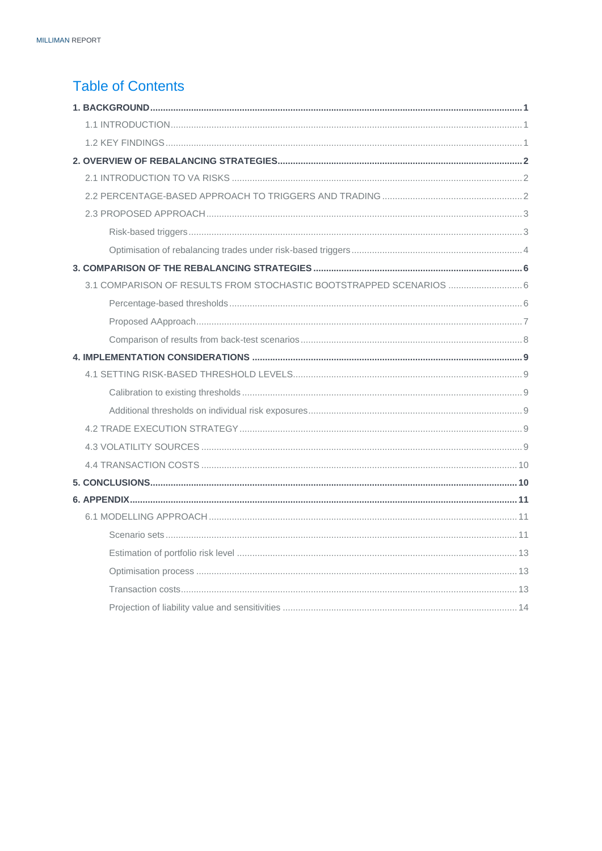### **Table of Contents**

| 3.1 COMPARISON OF RESULTS FROM STOCHASTIC BOOTSTRAPPED SCENARIOS  6 |
|---------------------------------------------------------------------|
|                                                                     |
|                                                                     |
|                                                                     |
|                                                                     |
|                                                                     |
|                                                                     |
|                                                                     |
|                                                                     |
|                                                                     |
|                                                                     |
|                                                                     |
|                                                                     |
|                                                                     |
|                                                                     |
|                                                                     |
|                                                                     |
|                                                                     |
|                                                                     |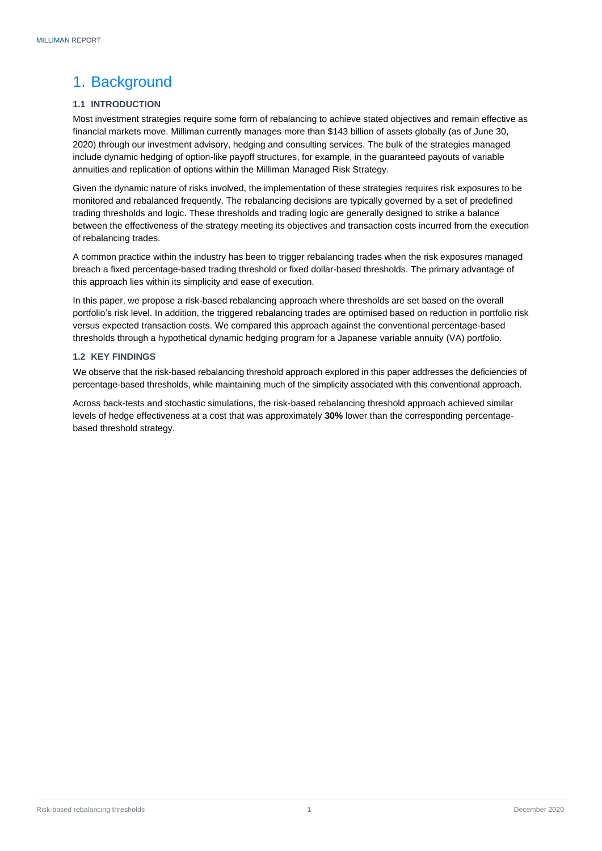### <span id="page-2-0"></span>1. Background

#### <span id="page-2-1"></span>**1.1 INTRODUCTION**

Most investment strategies require some form of rebalancing to achieve stated objectives and remain effective as financial markets move. Milliman currently manages more than \$143 billion of assets globally (as of June 30, 2020) through our investment advisory, hedging and consulting services. The bulk of the strategies managed include dynamic hedging of option-like payoff structures, for example, in the guaranteed payouts of variable annuities and replication of options within the Milliman Managed Risk Strategy.

Given the dynamic nature of risks involved, the implementation of these strategies requires risk exposures to be monitored and rebalanced frequently. The rebalancing decisions are typically governed by a set of predefined trading thresholds and logic. These thresholds and trading logic are generally designed to strike a balance between the effectiveness of the strategy meeting its objectives and transaction costs incurred from the execution of rebalancing trades.

A common practice within the industry has been to trigger rebalancing trades when the risk exposures managed breach a fixed percentage-based trading threshold or fixed dollar-based thresholds. The primary advantage of this approach lies within its simplicity and ease of execution.

In this paper, we propose a risk-based rebalancing approach where thresholds are set based on the overall portfolio's risk level. In addition, the triggered rebalancing trades are optimised based on reduction in portfolio risk versus expected transaction costs. We compared this approach against the conventional percentage-based thresholds through a hypothetical dynamic hedging program for a Japanese variable annuity (VA) portfolio.

#### <span id="page-2-2"></span>**1.2 KEY FINDINGS**

We observe that the risk-based rebalancing threshold approach explored in this paper addresses the deficiencies of percentage-based thresholds, while maintaining much of the simplicity associated with this conventional approach.

<span id="page-2-3"></span>Across back-tests and stochastic simulations, the risk-based rebalancing threshold approach achieved similar levels of hedge effectiveness at a cost that was approximately **30%** lower than the corresponding percentagebased threshold strategy.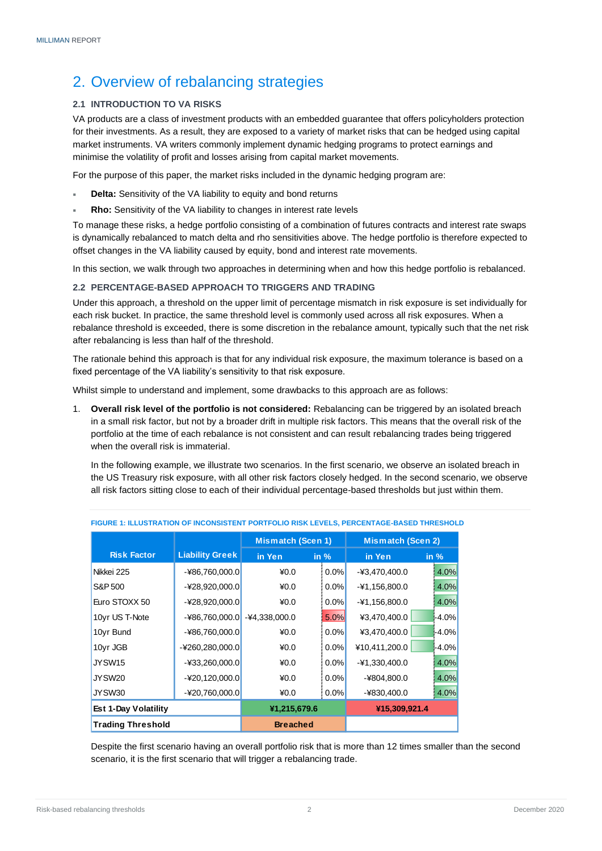### 2. Overview of rebalancing strategies

#### <span id="page-3-0"></span>**2.1 INTRODUCTION TO VA RISKS**

VA products are a class of investment products with an embedded guarantee that offers policyholders protection for their investments. As a result, they are exposed to a variety of market risks that can be hedged using capital market instruments. VA writers commonly implement dynamic hedging programs to protect earnings and minimise the volatility of profit and losses arising from capital market movements.

For the purpose of this paper, the market risks included in the dynamic hedging program are:

- **Delta:** Sensitivity of the VA liability to equity and bond returns
- **Rho:** Sensitivity of the VA liability to changes in interest rate levels

To manage these risks, a hedge portfolio consisting of a combination of futures contracts and interest rate swaps is dynamically rebalanced to match delta and rho sensitivities above. The hedge portfolio is therefore expected to offset changes in the VA liability caused by equity, bond and interest rate movements.

In this section, we walk through two approaches in determining when and how this hedge portfolio is rebalanced.

#### <span id="page-3-1"></span>**2.2 PERCENTAGE-BASED APPROACH TO TRIGGERS AND TRADING**

Under this approach, a threshold on the upper limit of percentage mismatch in risk exposure is set individually for each risk bucket. In practice, the same threshold level is commonly used across all risk exposures. When a rebalance threshold is exceeded, there is some discretion in the rebalance amount, typically such that the net risk after rebalancing is less than half of the threshold.

The rationale behind this approach is that for any individual risk exposure, the maximum tolerance is based on a fixed percentage of the VA liability's sensitivity to that risk exposure.

Whilst simple to understand and implement, some drawbacks to this approach are as follows:

1. **Overall risk level of the portfolio is not considered:** Rebalancing can be triggered by an isolated breach in a small risk factor, but not by a broader drift in multiple risk factors. This means that the overall risk of the portfolio at the time of each rebalance is not consistent and can result rebalancing trades being triggered when the overall risk is immaterial.

In the following example, we illustrate two scenarios. In the first scenario, we observe an isolated breach in the US Treasury risk exposure, with all other risk factors closely hedged. In the second scenario, we observe all risk factors sitting close to each of their individual percentage-based thresholds but just within them.

|                             |                        | <b>Mismatch (Scen 1)</b> |               | <b>Mismatch (Scen 2)</b> |         |  |  |  |  |
|-----------------------------|------------------------|--------------------------|---------------|--------------------------|---------|--|--|--|--|
| <b>Risk Factor</b>          | <b>Liability Greek</b> | in Yen                   | in $%$        | in Yen                   | in $%$  |  |  |  |  |
| Nikkei 225                  | $-486,760,000.0$       | $*0.0$                   | 0.0%          | $-43,470,400.0$          | 4.0%    |  |  |  |  |
| S&P 500                     | $-428,920,000.0$       | $*0.0$                   | 0.0%          | -¥1,156,800.0            | 4.0%    |  |  |  |  |
| Euro STOXX 50               | $-428,920,000.0$       | $*0.0$                   | 0.0%          | $-41,156,800.0$          | 4.0%    |  |  |  |  |
| 10yr US T-Note              | $-486,760,000.0$       | $-44,338,000.0$          | 5.0%          | ¥3,470,400.0             | $-4.0%$ |  |  |  |  |
| 10yr Bund                   | -¥86,760,000.0         | $*0.0$                   | 0.0%          | ¥3,470,400.0             | $-4.0%$ |  |  |  |  |
| 10yr JGB                    | $-4260,280,000.0$      | $*0.0$                   | 0.0%          | ¥10,411,200.0            | $-4.0%$ |  |  |  |  |
| JYSW15                      | $-433,260,000.0$       | $*0.0$                   | 0.0%          | -¥1,330,400.0            | 4.0%    |  |  |  |  |
| JYSW <sub>20</sub>          | $-420,120,000.0$       | $*0.0$                   | 0.0%          | -¥804,800.0              | 4.0%    |  |  |  |  |
| JYSW30                      | $-420,760,000.0$       | $*0.0$                   | 0.0%          | -¥830,400.0              | 4.0%    |  |  |  |  |
| <b>Est 1-Day Volatility</b> | ¥1,215,679.6           |                          | ¥15,309,921.4 |                          |         |  |  |  |  |
| <b>Trading Threshold</b>    |                        | <b>Breached</b>          |               |                          |         |  |  |  |  |

#### **FIGURE 1: ILLUSTRATION OF INCONSISTENT PORTFOLIO RISK LEVELS, PERCENTAGE-BASED THRESHOLD**

Despite the first scenario having an overall portfolio risk that is more than 12 times smaller than the second scenario, it is the first scenario that will trigger a rebalancing trade.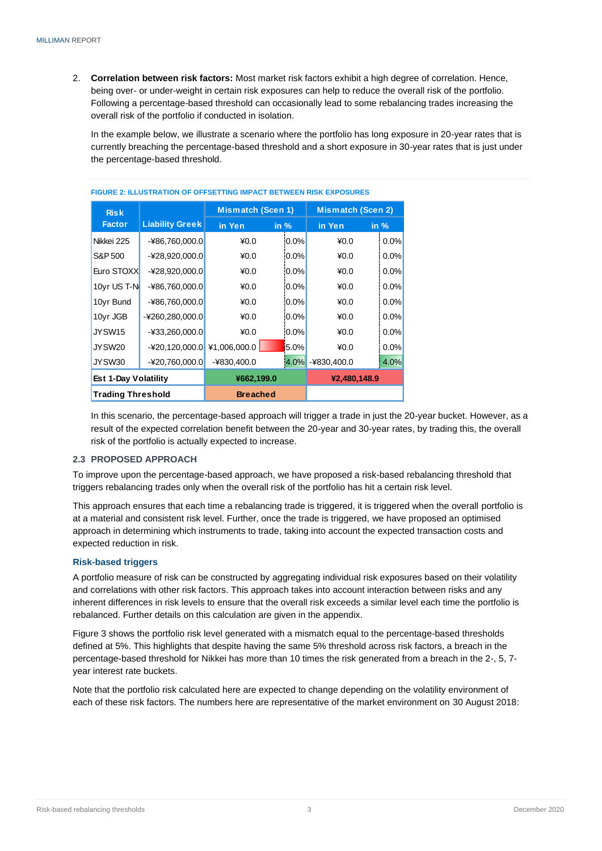2. **Correlation between risk factors:** Most market risk factors exhibit a high degree of correlation. Hence, being over- or under-weight in certain risk exposures can help to reduce the overall risk of the portfolio. Following a percentage-based threshold can occasionally lead to some rebalancing trades increasing the overall risk of the portfolio if conducted in isolation.

In the example below, we illustrate a scenario where the portfolio has long exposure in 20-year rates that is currently breaching the percentage-based threshold and a short exposure in 30-year rates that is just under the percentage-based threshold.

| <b>Risk</b>                 |                        | Mismatch (Scen 1) |         | Mismatch (Scen 2) |         |
|-----------------------------|------------------------|-------------------|---------|-------------------|---------|
| <b>Factor</b>               | <b>Liability Greek</b> | in Yen            | in $%$  | in Yen            | in $%$  |
| Nikkei 225                  | $-486,760,000.0$       | $*0.0$            | $0.0\%$ | $*0.0$            | 0.0%    |
| S&P 500                     | $-428,920,000.0$       | $*0.0$            | $0.0\%$ | $*0.0$            | $0.0\%$ |
| Euro STOXX                  | $-428,920,000.0$       | $*0.0$            | $0.0\%$ | $*0.0$            | $0.0\%$ |
| 10yr US T-N                 | $-486,760,000.0$       | $*0.0$            | $0.0\%$ | $*0.0$            | 0.0%    |
| 10yr Bund                   | $-486,760,000.0$       | $*0.0$            | $0.0\%$ | $*0.0$            | $0.0\%$ |
| 10yr JGB                    | $-4260,280,000.0$      | $*0.0$            | $0.0\%$ | $*0.0$            | 0.0%    |
| JYSW15                      | $-433,260,000.0$       | $*0.0$            | $0.0\%$ | $*0.0$            | 0.0%    |
| JYSW20                      | $-420,120,000.0$       | ¥1,006,000.0      | $5.0\%$ | $*0.0$            | $0.0\%$ |
| JYSW30                      | $-420,760,000.0$       | -¥830,400.0       | 4.0%    | $-4830,400.0$     | 4.0%    |
| <b>Est 1-Day Volatility</b> |                        | ¥662,199.0        |         | ¥2,480,148.9      |         |
| <b>Trading Threshold</b>    |                        | <b>Breached</b>   |         |                   |         |

#### **FIGURE 2: ILLUSTRATION OF OFFSETTING IMPACT BETWEEN RISK EXPOSURES**

In this scenario, the percentage-based approach will trigger a trade in just the 20-year bucket. However, as a result of the expected correlation benefit between the 20-year and 30-year rates, by trading this, the overall risk of the portfolio is actually expected to increase.

#### <span id="page-4-0"></span>**2.3 PROPOSED APPROACH**

To improve upon the percentage-based approach, we have proposed a risk-based rebalancing threshold that triggers rebalancing trades only when the overall risk of the portfolio has hit a certain risk level.

This approach ensures that each time a rebalancing trade is triggered, it is triggered when the overall portfolio is at a material and consistent risk level. Further, once the trade is triggered, we have proposed an optimised approach in determining which instruments to trade, taking into account the expected transaction costs and expected reduction in risk.

#### <span id="page-4-1"></span>**Risk-based triggers**

A portfolio measure of risk can be constructed by aggregating individual risk exposures based on their volatility and correlations with other risk factors. This approach takes into account interaction between risks and any inherent differences in risk levels to ensure that the overall risk exceeds a similar level each time the portfolio is rebalanced. Further details on this calculation are given in the appendix.

Figure 3 shows the portfolio risk level generated with a mismatch equal to the percentage-based thresholds defined at 5%. This highlights that despite having the same 5% threshold across risk factors, a breach in the percentage-based threshold for Nikkei has more than 10 times the risk generated from a breach in the 2-, 5, 7 year interest rate buckets.

Note that the portfolio risk calculated here are expected to change depending on the volatility environment of each of these risk factors. The numbers here are representative of the market environment on 30 August 2018: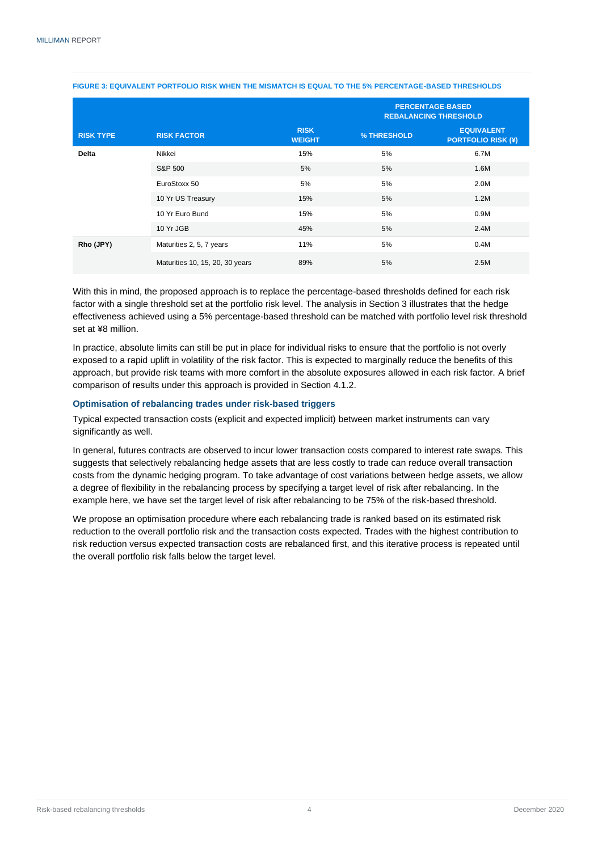|                  |                                 |                              |             | <b>PERCENTAGE-BASED</b><br><b>REBALANCING THRESHOLD</b> |
|------------------|---------------------------------|------------------------------|-------------|---------------------------------------------------------|
| <b>RISK TYPE</b> | <b>RISK FACTOR</b>              | <b>RISK</b><br><b>WEIGHT</b> | % THRESHOLD | <b>EQUIVALENT</b><br><b>PORTFOLIO RISK (\#)</b>         |
| <b>Delta</b>     | Nikkei                          | 15%                          | 5%          | 6.7M                                                    |
|                  | S&P 500                         | 5%                           | 5%          | 1.6M                                                    |
|                  | EuroStoxx 50                    | 5%                           | 5%          | 2.0M                                                    |
|                  | 10 Yr US Treasury               | 15%                          | 5%          | 1.2M                                                    |
|                  | 10 Yr Euro Bund                 | 15%                          | 5%          | 0.9M                                                    |
|                  | 10 Yr JGB                       | 45%                          | 5%          | 2.4M                                                    |
| Rho (JPY)        | Maturities 2, 5, 7 years        | 11%                          | 5%          | 0.4M                                                    |
|                  | Maturities 10, 15, 20, 30 years | 89%                          | 5%          | 2.5M                                                    |

#### **FIGURE 3: EQUIVALENT PORTFOLIO RISK WHEN THE MISMATCH IS EQUAL TO THE 5% PERCENTAGE-BASED THRESHOLDS**

With this in mind, the proposed approach is to replace the percentage-based thresholds defined for each risk factor with a single threshold set at the portfolio risk level. The analysis in Section 3 illustrates that the hedge effectiveness achieved using a 5% percentage-based threshold can be matched with portfolio level risk threshold set at ¥8 million.

In practice, absolute limits can still be put in place for individual risks to ensure that the portfolio is not overly exposed to a rapid uplift in volatility of the risk factor. This is expected to marginally reduce the benefits of this approach, but provide risk teams with more comfort in the absolute exposures allowed in each risk factor. A brief comparison of results under this approach is provided in Section 4.1.2.

#### <span id="page-5-0"></span>**Optimisation of rebalancing trades under risk-based triggers**

Typical expected transaction costs (explicit and expected implicit) between market instruments can vary significantly as well.

In general, futures contracts are observed to incur lower transaction costs compared to interest rate swaps. This suggests that selectively rebalancing hedge assets that are less costly to trade can reduce overall transaction costs from the dynamic hedging program. To take advantage of cost variations between hedge assets, we allow a degree of flexibility in the rebalancing process by specifying a target level of risk after rebalancing. In the example here, we have set the target level of risk after rebalancing to be 75% of the risk-based threshold.

We propose an optimisation procedure where each rebalancing trade is ranked based on its estimated risk reduction to the overall portfolio risk and the transaction costs expected. Trades with the highest contribution to risk reduction versus expected transaction costs are rebalanced first, and this iterative process is repeated until the overall portfolio risk falls below the target level.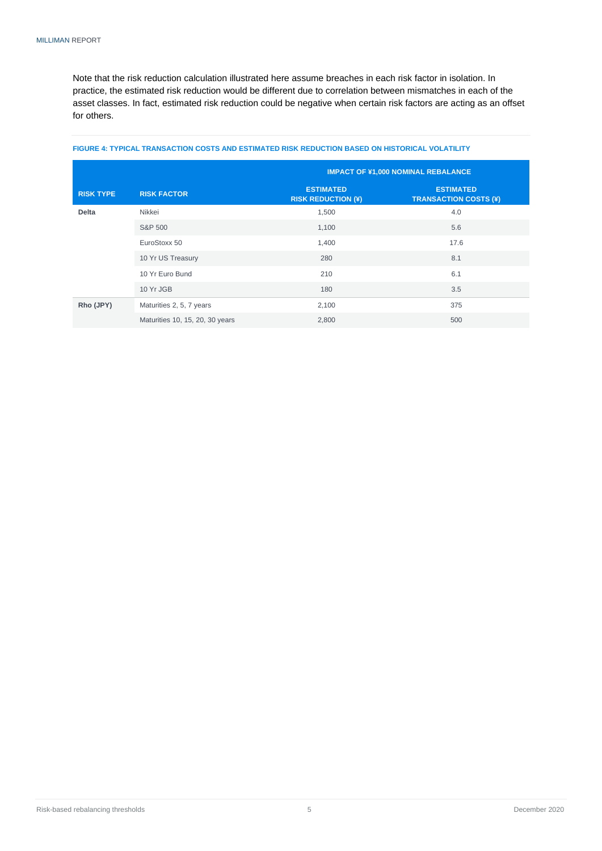Note that the risk reduction calculation illustrated here assume breaches in each risk factor in isolation. In practice, the estimated risk reduction would be different due to correlation between mismatches in each of the asset classes. In fact, estimated risk reduction could be negative when certain risk factors are acting as an offset for others.

<span id="page-6-0"></span>

|                  |                                 |                                               | <b>IMPACT OF ¥1,000 NOMINAL REBALANCE</b>        |
|------------------|---------------------------------|-----------------------------------------------|--------------------------------------------------|
| <b>RISK TYPE</b> | <b>RISK FACTOR</b>              | <b>ESTIMATED</b><br><b>RISK REDUCTION (¥)</b> | <b>ESTIMATED</b><br><b>TRANSACTION COSTS (\)</b> |
| <b>Delta</b>     | Nikkei                          | 1,500                                         | 4.0                                              |
|                  | S&P 500                         | 1,100                                         | 5.6                                              |
|                  | EuroStoxx 50                    | 1,400                                         | 17.6                                             |
|                  | 10 Yr US Treasury               | 280                                           | 8.1                                              |
|                  | 10 Yr Euro Bund                 | 210                                           | 6.1                                              |
|                  | 10 Yr JGB                       | 180                                           | 3.5                                              |
| Rho (JPY)        | Maturities 2, 5, 7 years        | 2,100                                         | 375                                              |
|                  | Maturities 10, 15, 20, 30 years | 2,800                                         | 500                                              |

#### **FIGURE 4: TYPICAL TRANSACTION COSTS AND ESTIMATED RISK REDUCTION BASED ON HISTORICAL VOLATILITY**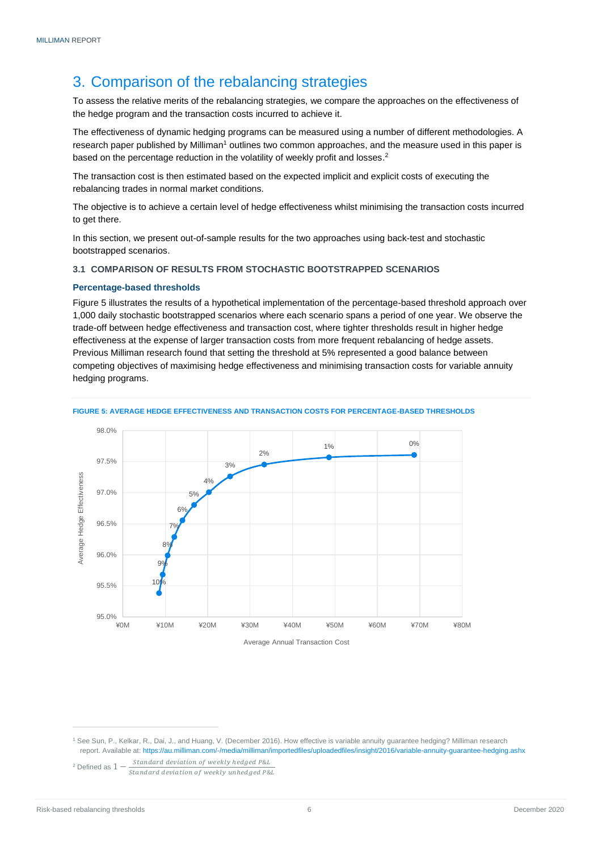### 3. Comparison of the rebalancing strategies

To assess the relative merits of the rebalancing strategies, we compare the approaches on the effectiveness of the hedge program and the transaction costs incurred to achieve it.

The effectiveness of dynamic hedging programs can be measured using a number of different methodologies. A research paper published by Milliman<sup>1</sup> outlines two common approaches, and the measure used in this paper is based on the percentage reduction in the volatility of weekly profit and losses.<sup>2</sup>

The transaction cost is then estimated based on the expected implicit and explicit costs of executing the rebalancing trades in normal market conditions.

The objective is to achieve a certain level of hedge effectiveness whilst minimising the transaction costs incurred to get there.

In this section, we present out-of-sample results for the two approaches using back-test and stochastic bootstrapped scenarios.

#### <span id="page-7-0"></span>**3.1 COMPARISON OF RESULTS FROM STOCHASTIC BOOTSTRAPPED SCENARIOS**

#### <span id="page-7-1"></span>**Percentage-based thresholds**

Figure 5 illustrates the results of a hypothetical implementation of the percentage-based threshold approach over 1,000 daily stochastic bootstrapped scenarios where each scenario spans a period of one year. We observe the trade-off between hedge effectiveness and transaction cost, where tighter thresholds result in higher hedge effectiveness at the expense of larger transaction costs from more frequent rebalancing of hedge assets. Previous Milliman research found that setting the threshold at 5% represented a good balance between competing objectives of maximising hedge effectiveness and minimising transaction costs for variable annuity hedging programs.



#### **FIGURE 5: AVERAGE HEDGE EFFECTIVENESS AND TRANSACTION COSTS FOR PERCENTAGE-BASED THRESHOLDS**

<sup>2</sup> Defined as  $1 - \frac{Standard\ deviation\ of\ weekly\ hed\ P\&L}{C\&L}\$ Standard deviation of weekly unhedged P&L

<sup>1</sup> See Sun, P., Kelkar, R., Dai, J., and Huang, V. (December 2016). How effective is variable annuity guarantee hedging? Milliman research report. Available at: <https://au.milliman.com/-/media/milliman/importedfiles/uploadedfiles/insight/2016/variable-annuity-guarantee-hedging.ashx>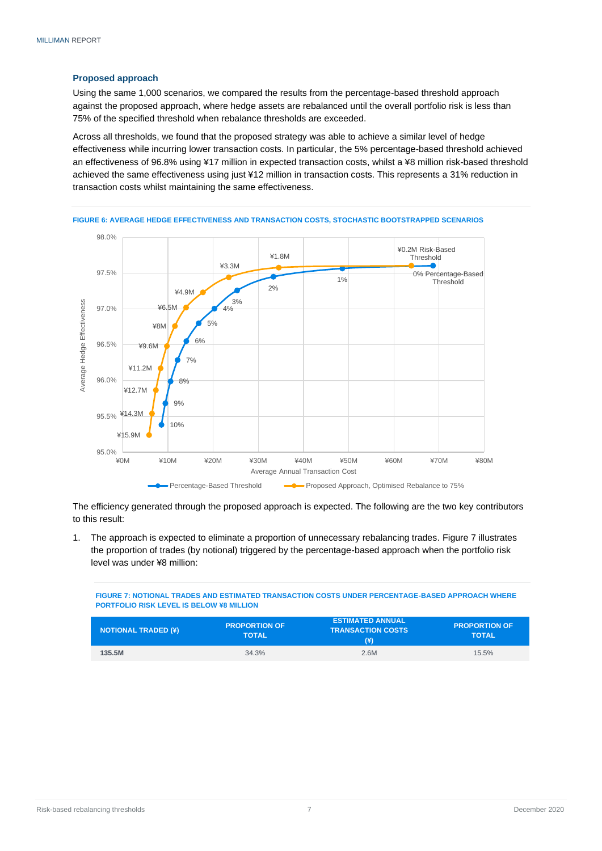#### <span id="page-8-0"></span>**Proposed approach**

Using the same 1,000 scenarios, we compared the results from the percentage-based threshold approach against the proposed approach, where hedge assets are rebalanced until the overall portfolio risk is less than 75% of the specified threshold when rebalance thresholds are exceeded.

Across all thresholds, we found that the proposed strategy was able to achieve a similar level of hedge effectiveness while incurring lower transaction costs. In particular, the 5% percentage-based threshold achieved an effectiveness of 96.8% using ¥17 million in expected transaction costs, whilst a ¥8 million risk-based threshold achieved the same effectiveness using just ¥12 million in transaction costs. This represents a 31% reduction in transaction costs whilst maintaining the same effectiveness.



**FIGURE 6: AVERAGE HEDGE EFFECTIVENESS AND TRANSACTION COSTS, STOCHASTIC BOOTSTRAPPED SCENARIOS**

The efficiency generated through the proposed approach is expected. The following are the two key contributors to this result:

1. The approach is expected to eliminate a proportion of unnecessary rebalancing trades. Figure 7 illustrates the proportion of trades (by notional) triggered by the percentage-based approach when the portfolio risk level was under ¥8 million:

**FIGURE 7: NOTIONAL TRADES AND ESTIMATED TRANSACTION COSTS UNDER PERCENTAGE-BASED APPROACH WHERE PORTFOLIO RISK LEVEL IS BELOW ¥8 MILLION**

| <b>NOTIONAL TRADED (\#)</b> | <b>PROPORTION OF</b><br><b>TOTAL</b> | <b>LESTIMATED ANNUAL</b><br><b>TRANSACTION COSTS</b><br>(¥) | <b>PROPORTION OF</b><br><b>TOTAL</b> |
|-----------------------------|--------------------------------------|-------------------------------------------------------------|--------------------------------------|
| 135.5M                      | 34.3%                                | 2.6M                                                        | 15.5%                                |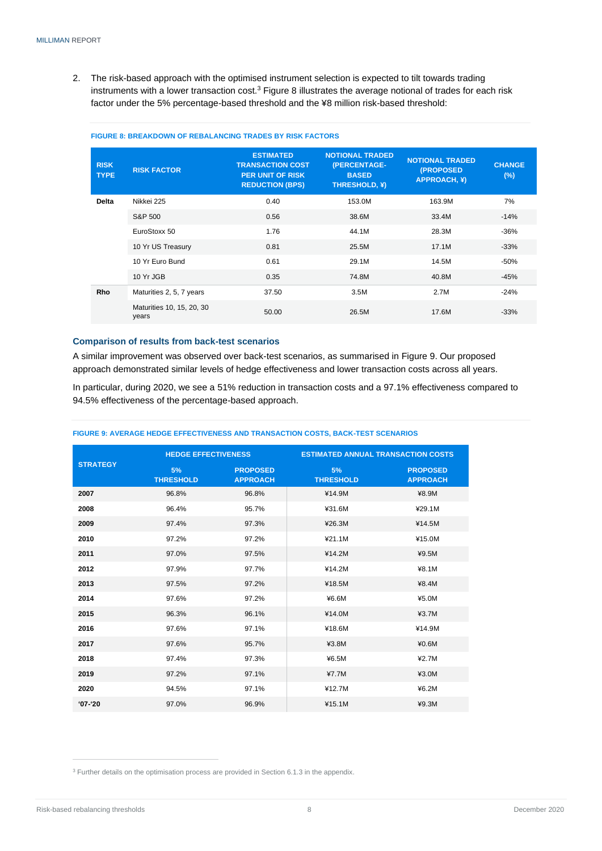2. The risk-based approach with the optimised instrument selection is expected to tilt towards trading instruments with a lower transaction  $\cosh^3 F$ igure 8 illustrates the average notional of trades for each risk factor under the 5% percentage-based threshold and the ¥8 million risk-based threshold:

| <b>RISK</b><br><b>TYPE</b> | <b>RISK FACTOR</b>                 | <b>ESTIMATED</b><br><b>TRANSACTION COST</b><br><b>PER UNIT OF RISK</b><br><b>REDUCTION (BPS)</b> | <b>NOTIONAL TRADED</b><br>(PERCENTAGE-<br><b>BASED</b><br><b>THRESHOLD, ¥)</b> | <b>NOTIONAL TRADED</b><br>(PROPOSED<br><b>APPROACH, \#)</b> | <b>CHANGE</b><br>(%) |
|----------------------------|------------------------------------|--------------------------------------------------------------------------------------------------|--------------------------------------------------------------------------------|-------------------------------------------------------------|----------------------|
| <b>Delta</b>               | Nikkei 225                         | 0.40                                                                                             | 153.0M                                                                         | 163.9M                                                      | 7%                   |
|                            | S&P 500                            | 0.56                                                                                             | 38.6M                                                                          | 33.4M                                                       | $-14%$               |
|                            |                                    |                                                                                                  |                                                                                |                                                             |                      |
|                            | EuroStoxx 50                       | 1.76                                                                                             | 44.1M                                                                          | 28.3M                                                       | $-36%$               |
|                            | 10 Yr US Treasury                  | 0.81                                                                                             | 25.5M                                                                          | 17.1M                                                       | $-33%$               |
|                            | 10 Yr Euro Bund                    | 0.61                                                                                             | 29.1M                                                                          | 14.5M                                                       | $-50%$               |
|                            | 10 Yr JGB                          | 0.35                                                                                             | 74.8M                                                                          | 40.8M                                                       | $-45%$               |
| <b>Rho</b>                 | Maturities 2, 5, 7 years           | 37.50                                                                                            | 3.5M                                                                           | 2.7M                                                        | $-24%$               |
|                            | Maturities 10, 15, 20, 30<br>years | 50.00                                                                                            | 26.5M                                                                          | 17.6M                                                       | $-33%$               |

#### **FIGURE 8: BREAKDOWN OF REBALANCING TRADES BY RISK FACTORS**

#### <span id="page-9-0"></span>**Comparison of results from back-test scenarios**

A similar improvement was observed over back-test scenarios, as summarised in Figure 9. Our proposed approach demonstrated similar levels of hedge effectiveness and lower transaction costs across all years.

In particular, during 2020, we see a 51% reduction in transaction costs and a 97.1% effectiveness compared to 94.5% effectiveness of the percentage-based approach.

|                 | <b>HEDGE EFFECTIVENESS</b> |                                    | <b>ESTIMATED ANNUAL TRANSACTION COSTS</b> |                                    |  |  |  |
|-----------------|----------------------------|------------------------------------|-------------------------------------------|------------------------------------|--|--|--|
| <b>STRATEGY</b> | 5%<br><b>THRESHOLD</b>     | <b>PROPOSED</b><br><b>APPROACH</b> | 5%<br><b>THRESHOLD</b>                    | <b>PROPOSED</b><br><b>APPROACH</b> |  |  |  |
| 2007            | 96.8%                      | 96.8%                              | ¥14.9M                                    | ¥8.9M                              |  |  |  |
| 2008            | 96.4%                      | 95.7%                              | ¥31.6M                                    | ¥29.1M                             |  |  |  |
| 2009            | 97.4%                      | 97.3%                              | ¥26.3M                                    | ¥14.5M                             |  |  |  |
| 2010            | 97.2%                      | 97.2%                              | ¥21.1M                                    | ¥15.0M                             |  |  |  |
| 2011            | 97.0%                      | 97.5%                              | ¥14.2M                                    | ¥9.5M                              |  |  |  |
| 2012            | 97.9%                      | 97.7%                              | ¥14.2M                                    | ¥8.1M                              |  |  |  |
| 2013            | 97.5%                      | 97.2%                              | ¥18.5M                                    | ¥8.4M                              |  |  |  |
| 2014            | 97.6%                      | 97.2%                              | ¥6.6M                                     | ¥5.0M                              |  |  |  |
| 2015            | 96.3%                      | 96.1%                              | ¥14.0M                                    | ¥3.7M                              |  |  |  |
| 2016            | 97.6%                      | 97.1%                              | ¥18.6M                                    | ¥14.9M                             |  |  |  |
| 2017            | 97.6%                      | 95.7%                              | ¥3.8M                                     | ¥0.6M                              |  |  |  |
| 2018            | 97.4%                      | 97.3%                              | ¥6.5M                                     | ¥2.7M                              |  |  |  |
| 2019            | 97.2%                      | 97.1%                              | 47.7M                                     | ¥3.0M                              |  |  |  |
| 2020            | 94.5%                      | 97.1%                              | ¥12.7M                                    | ¥6.2M                              |  |  |  |
| $'07 - 20$      | 97.0%                      | 96.9%                              | ¥15.1M                                    | ¥9.3M                              |  |  |  |

#### **FIGURE 9: AVERAGE HEDGE EFFECTIVENESS AND TRANSACTION COSTS, BACK-TEST SCENARIOS**

 $3$  Further details on the optimisation process are provided in Section 6.1.3 in the appendix.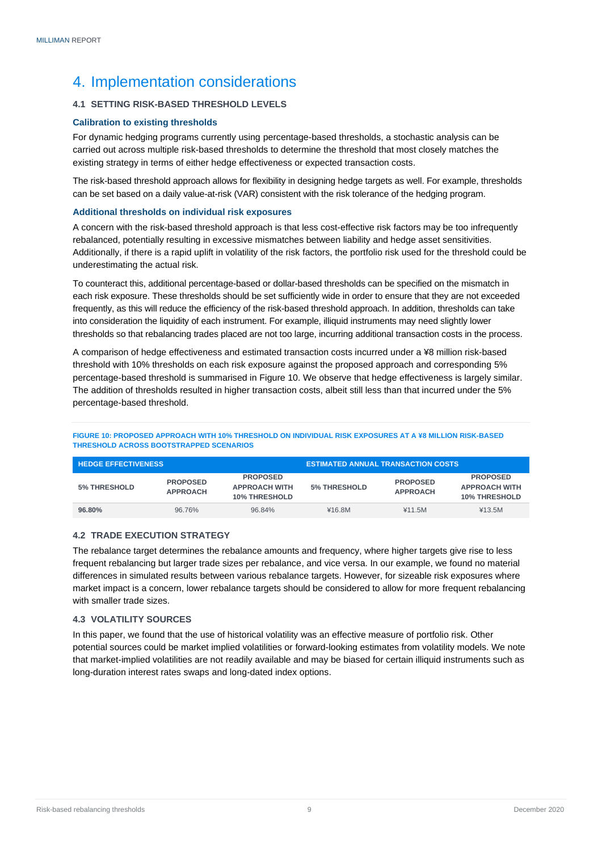### <span id="page-10-0"></span>4. Implementation considerations

#### <span id="page-10-1"></span>**4.1 SETTING RISK-BASED THRESHOLD LEVELS**

#### <span id="page-10-2"></span>**Calibration to existing thresholds**

For dynamic hedging programs currently using percentage-based thresholds, a stochastic analysis can be carried out across multiple risk-based thresholds to determine the threshold that most closely matches the existing strategy in terms of either hedge effectiveness or expected transaction costs.

The risk-based threshold approach allows for flexibility in designing hedge targets as well. For example, thresholds can be set based on a daily value-at-risk (VAR) consistent with the risk tolerance of the hedging program.

#### <span id="page-10-3"></span>**Additional thresholds on individual risk exposures**

A concern with the risk-based threshold approach is that less cost-effective risk factors may be too infrequently rebalanced, potentially resulting in excessive mismatches between liability and hedge asset sensitivities. Additionally, if there is a rapid uplift in volatility of the risk factors, the portfolio risk used for the threshold could be underestimating the actual risk.

To counteract this, additional percentage-based or dollar-based thresholds can be specified on the mismatch in each risk exposure. These thresholds should be set sufficiently wide in order to ensure that they are not exceeded frequently, as this will reduce the efficiency of the risk-based threshold approach. In addition, thresholds can take into consideration the liquidity of each instrument. For example, illiquid instruments may need slightly lower thresholds so that rebalancing trades placed are not too large, incurring additional transaction costs in the process.

A comparison of hedge effectiveness and estimated transaction costs incurred under a ¥8 million risk-based threshold with 10% thresholds on each risk exposure against the proposed approach and corresponding 5% percentage-based threshold is summarised in Figure 10. We observe that hedge effectiveness is largely similar. The addition of thresholds resulted in higher transaction costs, albeit still less than that incurred under the 5% percentage-based threshold.

**FIGURE 10: PROPOSED APPROACH WITH 10% THRESHOLD ON INDIVIDUAL RISK EXPOSURES AT A ¥8 MILLION RISK-BASED THRESHOLD ACROSS BOOTSTRAPPED SCENARIOS**

| <b>HEDGE EFFECTIVENESS</b> |                                    |                                                                 | <b>ESTIMATED ANNUAL TRANSACTION COSTS</b> |                                    |                                                                 |  |  |
|----------------------------|------------------------------------|-----------------------------------------------------------------|-------------------------------------------|------------------------------------|-----------------------------------------------------------------|--|--|
| 5% THRESHOLD               | <b>PROPOSED</b><br><b>APPROACH</b> | <b>PROPOSED</b><br><b>APPROACH WITH</b><br><b>10% THRESHOLD</b> | 5% THRESHOLD                              | <b>PROPOSED</b><br><b>APPROACH</b> | <b>PROPOSED</b><br><b>APPROACH WITH</b><br><b>10% THRESHOLD</b> |  |  |
| 96.80%                     | 96.76%                             | 96.84%                                                          | ¥16.8M                                    | ¥11.5M                             | ¥13.5M                                                          |  |  |

#### <span id="page-10-4"></span>**4.2 TRADE EXECUTION STRATEGY**

The rebalance target determines the rebalance amounts and frequency, where higher targets give rise to less frequent rebalancing but larger trade sizes per rebalance, and vice versa. In our example, we found no material differences in simulated results between various rebalance targets. However, for sizeable risk exposures where market impact is a concern, lower rebalance targets should be considered to allow for more frequent rebalancing with smaller trade sizes.

#### <span id="page-10-5"></span>**4.3 VOLATILITY SOURCES**

<span id="page-10-6"></span>In this paper, we found that the use of historical volatility was an effective measure of portfolio risk. Other potential sources could be market implied volatilities or forward-looking estimates from volatility models. We note that market-implied volatilities are not readily available and may be biased for certain illiquid instruments such as long-duration interest rates swaps and long-dated index options.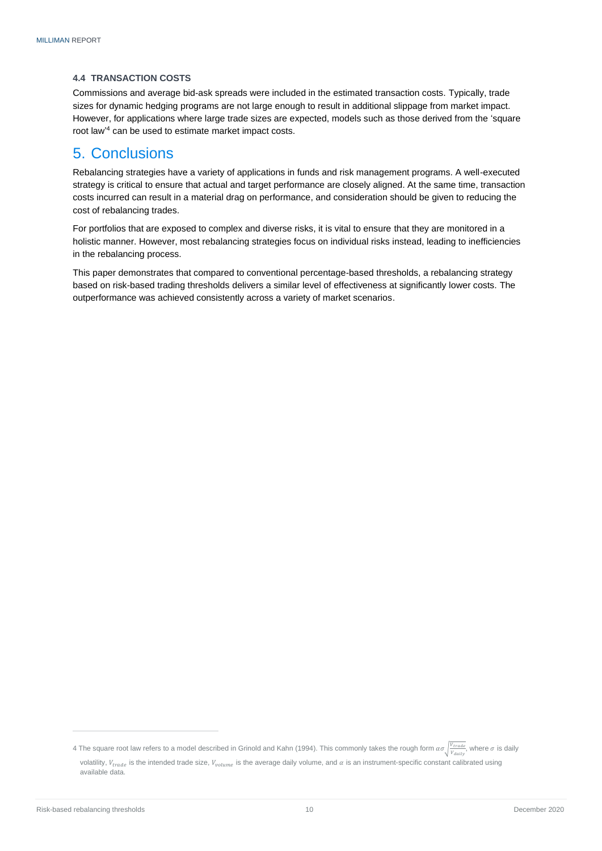#### **4.4 TRANSACTION COSTS**

Commissions and average bid-ask spreads were included in the estimated transaction costs. Typically, trade sizes for dynamic hedging programs are not large enough to result in additional slippage from market impact. However, for applications where large trade sizes are expected, models such as those derived from the 'square root law' <sup>4</sup> can be used to estimate market impact costs.

### <span id="page-11-0"></span>5. Conclusions

Rebalancing strategies have a variety of applications in funds and risk management programs. A well-executed strategy is critical to ensure that actual and target performance are closely aligned. At the same time, transaction costs incurred can result in a material drag on performance, and consideration should be given to reducing the cost of rebalancing trades.

For portfolios that are exposed to complex and diverse risks, it is vital to ensure that they are monitored in a holistic manner. However, most rebalancing strategies focus on individual risks instead, leading to inefficiencies in the rebalancing process.

This paper demonstrates that compared to conventional percentage-based thresholds, a rebalancing strategy based on risk-based trading thresholds delivers a similar level of effectiveness at significantly lower costs. The outperformance was achieved consistently across a variety of market scenarios.

<sup>4</sup> The square root law refers to a model described in Grinold and Kahn (1994). This commonly takes the rough form  $\alpha\sigma\sqrt{\frac{V_{trade}}{V_{dality}}}$ , where  $\sigma$  is daily volatility,  $V_{trade}$  is the intended trade size,  $V_{volume}$  is the average daily volume, and  $\alpha$  is an instrument-specific constant calibrated using available data.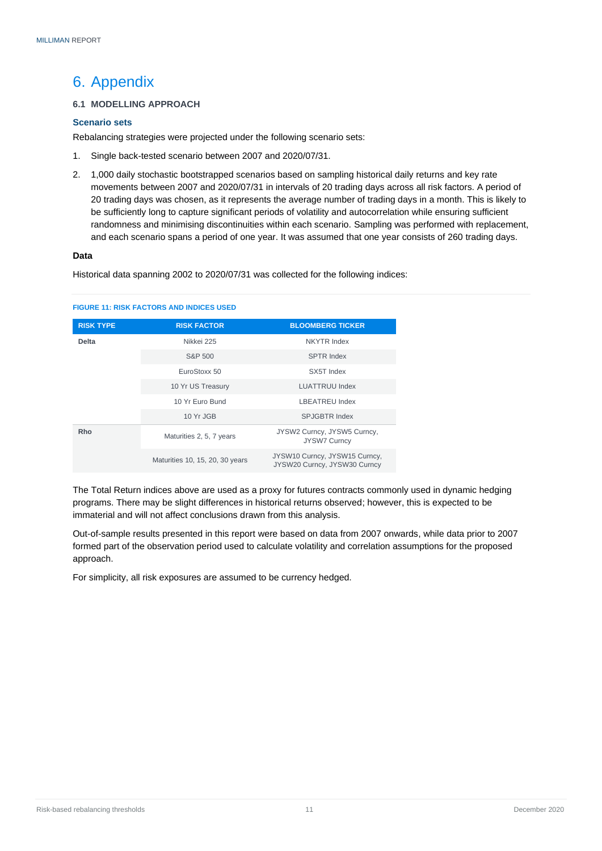### <span id="page-12-0"></span>6. Appendix

#### <span id="page-12-1"></span>**6.1 MODELLING APPROACH**

#### <span id="page-12-2"></span>**Scenario sets**

Rebalancing strategies were projected under the following scenario sets:

- 1. Single back-tested scenario between 2007 and 2020/07/31.
- 2. 1,000 daily stochastic bootstrapped scenarios based on sampling historical daily returns and key rate movements between 2007 and 2020/07/31 in intervals of 20 trading days across all risk factors. A period of 20 trading days was chosen, as it represents the average number of trading days in a month. This is likely to be sufficiently long to capture significant periods of volatility and autocorrelation while ensuring sufficient randomness and minimising discontinuities within each scenario. Sampling was performed with replacement, and each scenario spans a period of one year. It was assumed that one year consists of 260 trading days.

#### **Data**

Historical data spanning 2002 to 2020/07/31 was collected for the following indices:

#### **RISK TYPE RISK FACTOR BLOOMBERG TICKER Delta** Nikkei 225 Nikkei 225 NKYTR Index S&P 500 SPTR Index EuroStoxx 50 SX5T Index 10 Yr US Treasury **LUATTRUU** Index 10 Yr Euro Bund LBEATREU Index 10 Yr JGB SPJGBTR Index **Rho** Maturities 2, 5, 7 years JYSW2 Curncy, JYSW5 Curncy, JYSW7 Curncy Maturities 10, 15, 20, 30 years JYSW10 Curncy, JYSW15 Curncy, JYSW20 Curncy, JYSW30 Curncy

#### **FIGURE 11: RISK FACTORS AND INDICES USED**

The Total Return indices above are used as a proxy for futures contracts commonly used in dynamic hedging programs. There may be slight differences in historical returns observed; however, this is expected to be immaterial and will not affect conclusions drawn from this analysis.

Out-of-sample results presented in this report were based on data from 2007 onwards, while data prior to 2007 formed part of the observation period used to calculate volatility and correlation assumptions for the proposed approach.

For simplicity, all risk exposures are assumed to be currency hedged.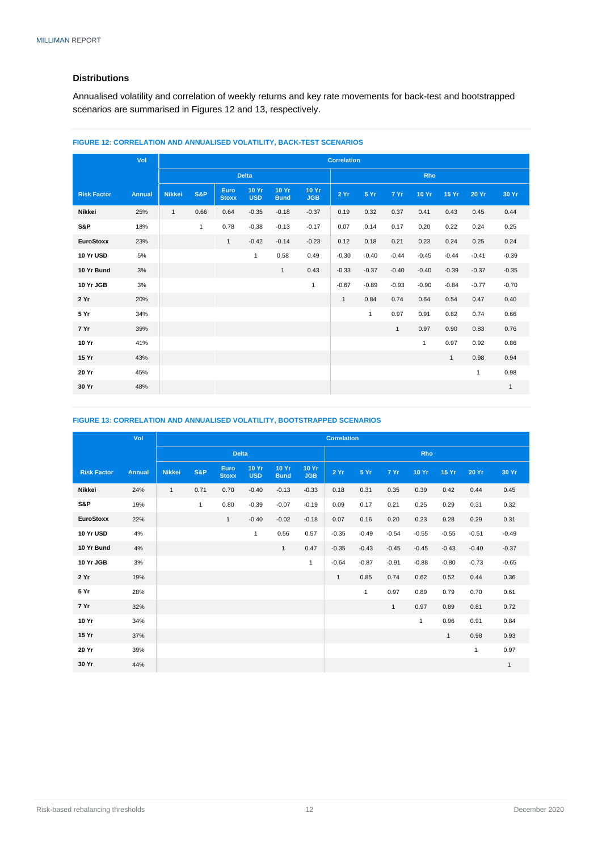#### **Distributions**

Annualised volatility and correlation of weekly returns and key rate movements for back-test and bootstrapped scenarios are summarised in Figures 12 and 13, respectively.

|                    | Vol           |               | <b>Correlation</b> |                      |                            |                             |                     |              |              |              |              |              |              |              |
|--------------------|---------------|---------------|--------------------|----------------------|----------------------------|-----------------------------|---------------------|--------------|--------------|--------------|--------------|--------------|--------------|--------------|
|                    |               |               |                    |                      | <b>Delta</b>               |                             |                     |              |              |              | Rho          |              |              |              |
| <b>Risk Factor</b> | <b>Annual</b> | <b>Nikkei</b> | S&P                | Euro<br><b>Stoxx</b> | <b>10 Yr</b><br><b>USD</b> | <b>10 Yr</b><br><b>Bund</b> | 10 Yr<br><b>JGB</b> | 2 Yr         | 5 Yr         | 7 Yr         | 10 Yr        | 15 Yr        | <b>20 Yr</b> | 30 Yr        |
| Nikkei             | 25%           | $\mathbf{1}$  | 0.66               | 0.64                 | $-0.35$                    | $-0.18$                     | $-0.37$             | 0.19         | 0.32         | 0.37         | 0.41         | 0.43         | 0.45         | 0.44         |
| S&P                | 18%           |               | $\mathbf{1}$       | 0.78                 | $-0.38$                    | $-0.13$                     | $-0.17$             | 0.07         | 0.14         | 0.17         | 0.20         | 0.22         | 0.24         | 0.25         |
| <b>EuroStoxx</b>   | 23%           |               |                    | $\mathbf{1}$         | $-0.42$                    | $-0.14$                     | $-0.23$             | 0.12         | 0.18         | 0.21         | 0.23         | 0.24         | 0.25         | 0.24         |
| 10 Yr USD          | 5%            |               |                    |                      | $\mathbf{1}$               | 0.58                        | 0.49                | $-0.30$      | $-0.40$      | $-0.44$      | $-0.45$      | $-0.44$      | $-0.41$      | $-0.39$      |
| 10 Yr Bund         | 3%            |               |                    |                      |                            | $\mathbf{1}$                | 0.43                | $-0.33$      | $-0.37$      | $-0.40$      | $-0.40$      | $-0.39$      | $-0.37$      | $-0.35$      |
| 10 Yr JGB          | 3%            |               |                    |                      |                            |                             | $\mathbf{1}$        | $-0.67$      | $-0.89$      | $-0.93$      | $-0.90$      | $-0.84$      | $-0.77$      | $-0.70$      |
| 2 Yr               | 20%           |               |                    |                      |                            |                             |                     | $\mathbf{1}$ | 0.84         | 0.74         | 0.64         | 0.54         | 0.47         | 0.40         |
| 5 Yr               | 34%           |               |                    |                      |                            |                             |                     |              | $\mathbf{1}$ | 0.97         | 0.91         | 0.82         | 0.74         | 0.66         |
| 7 Yr               | 39%           |               |                    |                      |                            |                             |                     |              |              | $\mathbf{1}$ | 0.97         | 0.90         | 0.83         | 0.76         |
| 10 Yr              | 41%           |               |                    |                      |                            |                             |                     |              |              |              | $\mathbf{1}$ | 0.97         | 0.92         | 0.86         |
| 15 Yr              | 43%           |               |                    |                      |                            |                             |                     |              |              |              |              | $\mathbf{1}$ | 0.98         | 0.94         |
| 20 Yr              | 45%           |               |                    |                      |                            |                             |                     |              |              |              |              |              | $\mathbf{1}$ | 0.98         |
| 30 Yr              | 48%           |               |                    |                      |                            |                             |                     |              |              |              |              |              |              | $\mathbf{1}$ |

#### **FIGURE 12: CORRELATION AND ANNUALISED VOLATILITY, BACK-TEST SCENARIOS**

#### **FIGURE 13: CORRELATION AND ANNUALISED VOLATILITY, BOOTSTRAPPED SCENARIOS**

|                    | Vol           |               | <b>Correlation</b> |                                   |                     |                      |                     |              |              |              |              |              |              |              |
|--------------------|---------------|---------------|--------------------|-----------------------------------|---------------------|----------------------|---------------------|--------------|--------------|--------------|--------------|--------------|--------------|--------------|
|                    |               |               | <b>Delta</b>       |                                   |                     |                      |                     |              |              |              | <b>Rho</b>   |              |              |              |
| <b>Risk Factor</b> | <b>Annual</b> | <b>Nikkei</b> | <b>S&amp;P</b>     | Euro <sub>,</sub><br><b>Stoxx</b> | 10 Yr<br><b>USD</b> | 10 Yr<br><b>Bund</b> | 10 Yr<br><b>JGB</b> | 2 Yr         | 5 Yr         | 7 Yr         | 10 Yr        | 15 Yr        | <b>20 Yr</b> | 30 Yr        |
| <b>Nikkei</b>      | 24%           | $\mathbf{1}$  | 0.71               | 0.70                              | $-0.40$             | $-0.13$              | $-0.33$             | 0.18         | 0.31         | 0.35         | 0.39         | 0.42         | 0.44         | 0.45         |
| S&P                | 19%           |               | $\mathbf{1}$       | 0.80                              | $-0.39$             | $-0.07$              | $-0.19$             | 0.09         | 0.17         | 0.21         | 0.25         | 0.29         | 0.31         | 0.32         |
| <b>EuroStoxx</b>   | 22%           |               |                    | $\mathbf{1}$                      | $-0.40$             | $-0.02$              | $-0.18$             | 0.07         | 0.16         | 0.20         | 0.23         | 0.28         | 0.29         | 0.31         |
| 10 Yr USD          | 4%            |               |                    |                                   | $\mathbf{1}$        | 0.56                 | 0.57                | $-0.35$      | $-0.49$      | $-0.54$      | $-0.55$      | $-0.55$      | $-0.51$      | $-0.49$      |
| 10 Yr Bund         | 4%            |               |                    |                                   |                     | $\mathbf{1}$         | 0.47                | $-0.35$      | $-0.43$      | $-0.45$      | $-0.45$      | $-0.43$      | $-0.40$      | $-0.37$      |
| 10 Yr JGB          | 3%            |               |                    |                                   |                     |                      | $\mathbf{1}$        | $-0.64$      | $-0.87$      | $-0.91$      | $-0.88$      | $-0.80$      | $-0.73$      | $-0.65$      |
| 2 Yr               | 19%           |               |                    |                                   |                     |                      |                     | $\mathbf{1}$ | 0.85         | 0.74         | 0.62         | 0.52         | 0.44         | 0.36         |
| 5 Yr               | 28%           |               |                    |                                   |                     |                      |                     |              | $\mathbf{1}$ | 0.97         | 0.89         | 0.79         | 0.70         | 0.61         |
| 7 Yr               | 32%           |               |                    |                                   |                     |                      |                     |              |              | $\mathbf{1}$ | 0.97         | 0.89         | 0.81         | 0.72         |
| 10 Yr              | 34%           |               |                    |                                   |                     |                      |                     |              |              |              | $\mathbf{1}$ | 0.96         | 0.91         | 0.84         |
| 15 Yr              | 37%           |               |                    |                                   |                     |                      |                     |              |              |              |              | $\mathbf{1}$ | 0.98         | 0.93         |
| 20 Yr              | 39%           |               |                    |                                   |                     |                      |                     |              |              |              |              |              | $\mathbf{1}$ | 0.97         |
| 30 Yr              | 44%           |               |                    |                                   |                     |                      |                     |              |              |              |              |              |              | $\mathbf{1}$ |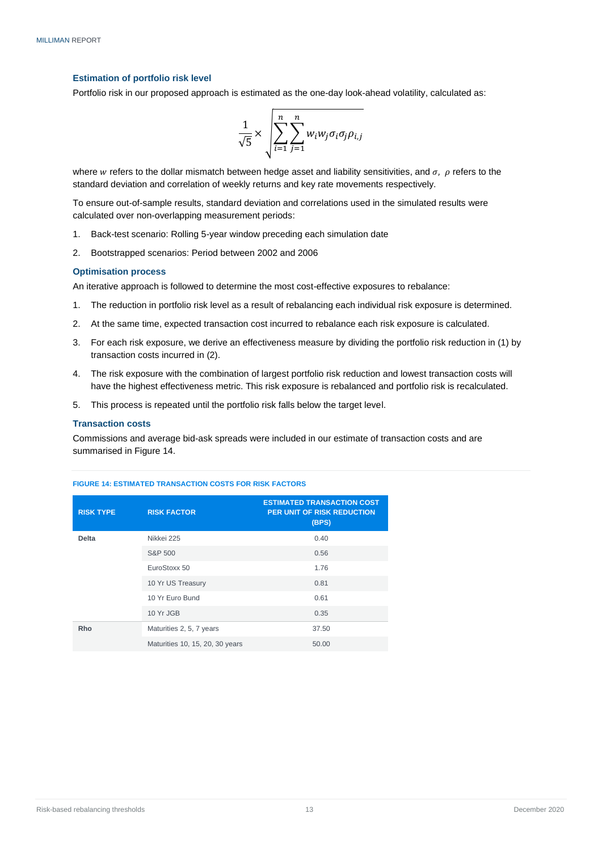#### <span id="page-14-0"></span>**Estimation of portfolio risk level**

Portfolio risk in our proposed approach is estimated as the one-day look-ahead volatility, calculated as:

$$
\frac{1}{\sqrt{5}} \times \sqrt{\sum_{i=1}^{n} \sum_{j=1}^{n} w_i w_j \sigma_i \sigma_j \rho_{i,j}}
$$

where w refers to the dollar mismatch between hedge asset and liability sensitivities, and  $\sigma$ ,  $\rho$  refers to the standard deviation and correlation of weekly returns and key rate movements respectively.

To ensure out-of-sample results, standard deviation and correlations used in the simulated results were calculated over non-overlapping measurement periods:

- 1. Back-test scenario: Rolling 5-year window preceding each simulation date
- 2. Bootstrapped scenarios: Period between 2002 and 2006

#### <span id="page-14-1"></span>**Optimisation process**

An iterative approach is followed to determine the most cost-effective exposures to rebalance:

- 1. The reduction in portfolio risk level as a result of rebalancing each individual risk exposure is determined.
- 2. At the same time, expected transaction cost incurred to rebalance each risk exposure is calculated.
- 3. For each risk exposure, we derive an effectiveness measure by dividing the portfolio risk reduction in (1) by transaction costs incurred in (2).
- 4. The risk exposure with the combination of largest portfolio risk reduction and lowest transaction costs will have the highest effectiveness metric. This risk exposure is rebalanced and portfolio risk is recalculated.
- 5. This process is repeated until the portfolio risk falls below the target level.

#### <span id="page-14-2"></span>**Transaction costs**

Commissions and average bid-ask spreads were included in our estimate of transaction costs and are summarised in Figure 14.

| <b>RISK TYPE</b> | <b>RISK FACTOR</b>              | <b>ESTIMATED TRANSACTION COST</b><br><b>PER UNIT OF RISK REDUCTION</b><br>(BPS) |
|------------------|---------------------------------|---------------------------------------------------------------------------------|
| <b>Delta</b>     | Nikkei 225                      | 0.40                                                                            |
|                  | S&P 500                         | 0.56                                                                            |
|                  | EuroStoxx 50                    | 1.76                                                                            |
|                  | 10 Yr US Treasury               | 0.81                                                                            |
|                  | 10 Yr Euro Bund                 | 0.61                                                                            |
|                  | 10 Yr JGB                       | 0.35                                                                            |
| Rho              | Maturities 2, 5, 7 years        | 37.50                                                                           |
|                  | Maturities 10, 15, 20, 30 years | 50.00                                                                           |

#### **FIGURE 14: ESTIMATED TRANSACTION COSTS FOR RISK FACTORS**